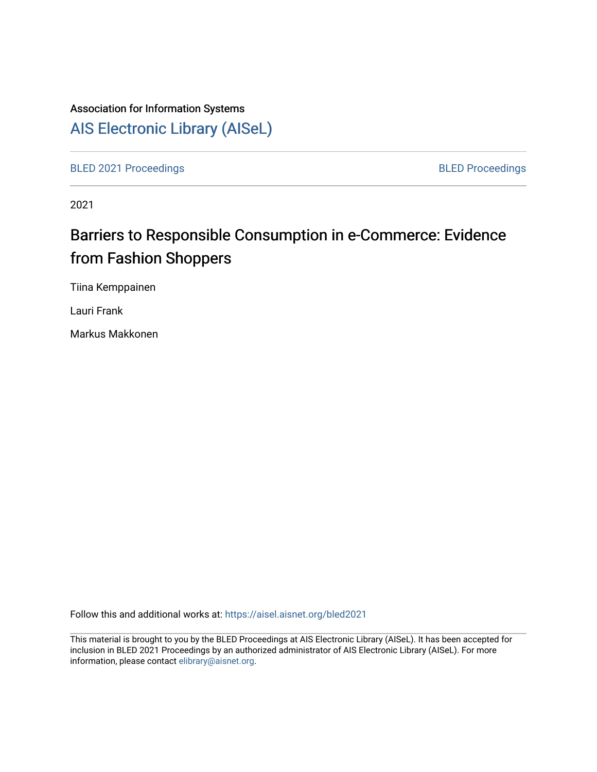# Association for Information Systems

# [AIS Electronic Library \(AISeL\)](https://aisel.aisnet.org/)

[BLED 2021 Proceedings](https://aisel.aisnet.org/bled2021) **BLED Proceedings** 

2021

# Barriers to Responsible Consumption in e-Commerce: Evidence from Fashion Shoppers

Tiina Kemppainen

Lauri Frank

Markus Makkonen

Follow this and additional works at: [https://aisel.aisnet.org/bled2021](https://aisel.aisnet.org/bled2021?utm_source=aisel.aisnet.org%2Fbled2021%2F41&utm_medium=PDF&utm_campaign=PDFCoverPages) 

This material is brought to you by the BLED Proceedings at AIS Electronic Library (AISeL). It has been accepted for inclusion in BLED 2021 Proceedings by an authorized administrator of AIS Electronic Library (AISeL). For more information, please contact [elibrary@aisnet.org.](mailto:elibrary@aisnet.org%3E)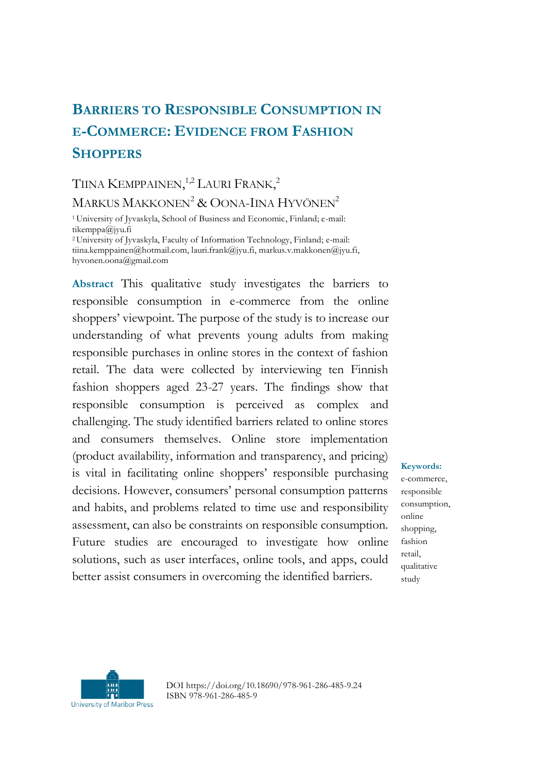# **BARRIERS TO RESPONSIBLE CONSUMPTION IN E-COMMERCE: EVIDENCE FROM FASHION SHOPPERS**

# TIINA KEMPPAINEN,<sup>1,2</sup> LAURI FRANK,<sup>2</sup> MARKUS MAKKONEN<sup>2</sup> & OONA-IINA HYVÖNEN<sup>2</sup>

<sup>1</sup>University of Jyvaskyla, School of Business and Economic, Finland; e-mail: tikemppa@jyu.fi <sup>2</sup>University of Jyvaskyla, Faculty of Information Technology, Finland; e-mail:

tiina.kemppainen@hotmail.com, lauri.frank@jyu.fi, markus.v.makkonen@jyu.fi, hyvonen.oona@gmail.com

**Abstract** This qualitative study investigates the barriers to responsible consumption in e-commerce from the online shoppers' viewpoint. The purpose of the study is to increase our understanding of what prevents young adults from making responsible purchases in online stores in the context of fashion retail. The data were collected by interviewing ten Finnish fashion shoppers aged 23-27 years. The findings show that responsible consumption is perceived as complex and challenging. The study identified barriers related to online stores and consumers themselves. Online store implementation (product availability, information and transparency, and pricing) is vital in facilitating online shoppers' responsible purchasing decisions. However, consumers' personal consumption patterns and habits, and problems related to time use and responsibility assessment, can also be constraints on responsible consumption. Future studies are encouraged to investigate how online solutions, such as user interfaces, online tools, and apps, could better assist consumers in overcoming the identified barriers.

#### **Keywords:**

e-commerce, responsible consumption, online shopping, fashion retail, qualitative study



DOI https://doi.org/10.18690/978-961-286-485-9.24 ISBN 978-961-286-485-9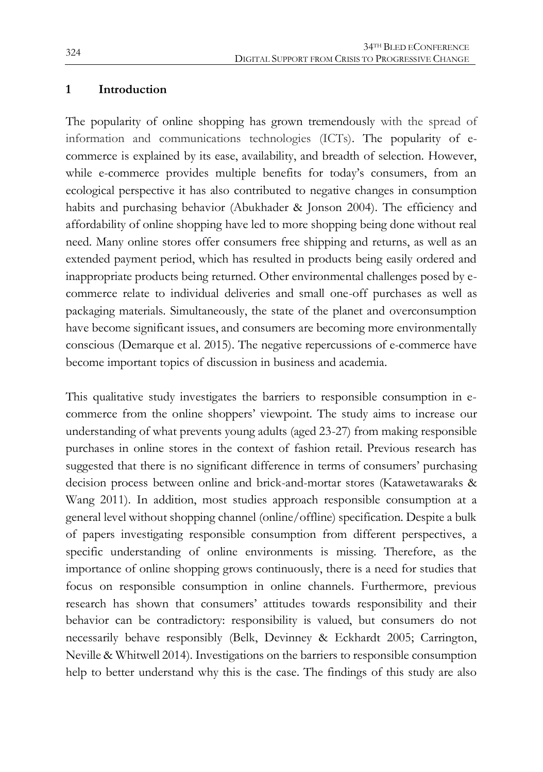#### **1 Introduction**

The popularity of online shopping has grown tremendously with the spread of information and communications technologies (ICTs). The popularity of ecommerce is explained by its ease, availability, and breadth of selection. However, while e-commerce provides multiple benefits for today's consumers, from an ecological perspective it has also contributed to negative changes in consumption habits and purchasing behavior (Abukhader & Jonson 2004). The efficiency and affordability of online shopping have led to more shopping being done without real need. Many online stores offer consumers free shipping and returns, as well as an extended payment period, which has resulted in products being easily ordered and inappropriate products being returned. Other environmental challenges posed by ecommerce relate to individual deliveries and small one-off purchases as well as packaging materials. Simultaneously, the state of the planet and overconsumption have become significant issues, and consumers are becoming more environmentally conscious (Demarque et al. 2015). The negative repercussions of e-commerce have become important topics of discussion in business and academia.

This qualitative study investigates the barriers to responsible consumption in ecommerce from the online shoppers' viewpoint. The study aims to increase our understanding of what prevents young adults (aged 23-27) from making responsible purchases in online stores in the context of fashion retail. Previous research has suggested that there is no significant difference in terms of consumers' purchasing decision process between online and brick-and-mortar stores (Katawetawaraks & Wang 2011). In addition, most studies approach responsible consumption at a general level without shopping channel (online/offline) specification. Despite a bulk of papers investigating responsible consumption from different perspectives, a specific understanding of online environments is missing. Therefore, as the importance of online shopping grows continuously, there is a need for studies that focus on responsible consumption in online channels. Furthermore, previous research has shown that consumers' attitudes towards responsibility and their behavior can be contradictory: responsibility is valued, but consumers do not necessarily behave responsibly (Belk, Devinney & Eckhardt 2005; Carrington, Neville & Whitwell 2014). Investigations on the barriers to responsible consumption help to better understand why this is the case. The findings of this study are also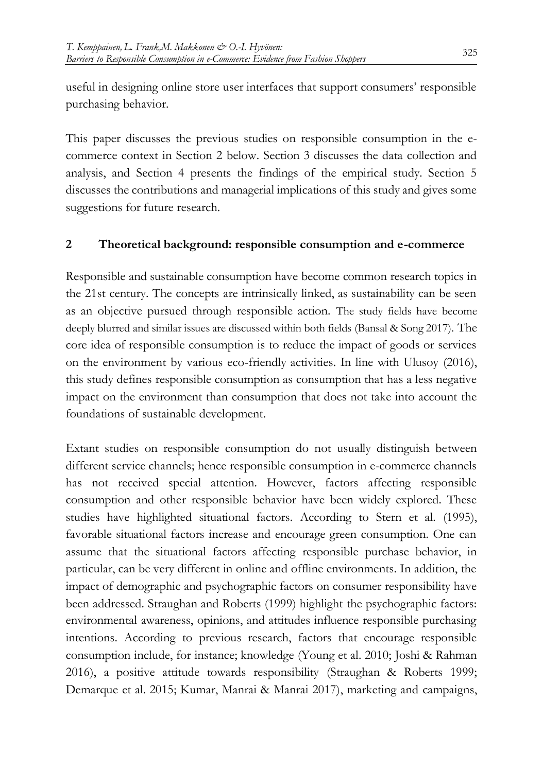useful in designing online store user interfaces that support consumers' responsible purchasing behavior.

This paper discusses the previous studies on responsible consumption in the ecommerce context in Section 2 below. Section 3 discusses the data collection and analysis, and Section 4 presents the findings of the empirical study. Section 5 discusses the contributions and managerial implications of this study and gives some suggestions for future research.

#### **2 Theoretical background: responsible consumption and e-commerce**

Responsible and sustainable consumption have become common research topics in the 21st century. The concepts are intrinsically linked, as sustainability can be seen as an objective pursued through responsible action. The study fields have become deeply blurred and similar issues are discussed within both fields (Bansal & Song 2017). The core idea of responsible consumption is to reduce the impact of goods or services on the environment by various eco-friendly activities. In line with Ulusoy (2016), this study defines responsible consumption as consumption that has a less negative impact on the environment than consumption that does not take into account the foundations of sustainable development.

Extant studies on responsible consumption do not usually distinguish between different service channels; hence responsible consumption in e-commerce channels has not received special attention. However, factors affecting responsible consumption and other responsible behavior have been widely explored. These studies have highlighted situational factors. According to Stern et al. (1995), favorable situational factors increase and encourage green consumption. One can assume that the situational factors affecting responsible purchase behavior, in particular, can be very different in online and offline environments. In addition, the impact of demographic and psychographic factors on consumer responsibility have been addressed. Straughan and Roberts (1999) highlight the psychographic factors: environmental awareness, opinions, and attitudes influence responsible purchasing intentions. According to previous research, factors that encourage responsible consumption include, for instance; knowledge (Young et al. 2010; Joshi & Rahman 2016), a positive attitude towards responsibility (Straughan & Roberts 1999; Demarque et al. 2015; Kumar, Manrai & Manrai 2017), marketing and campaigns,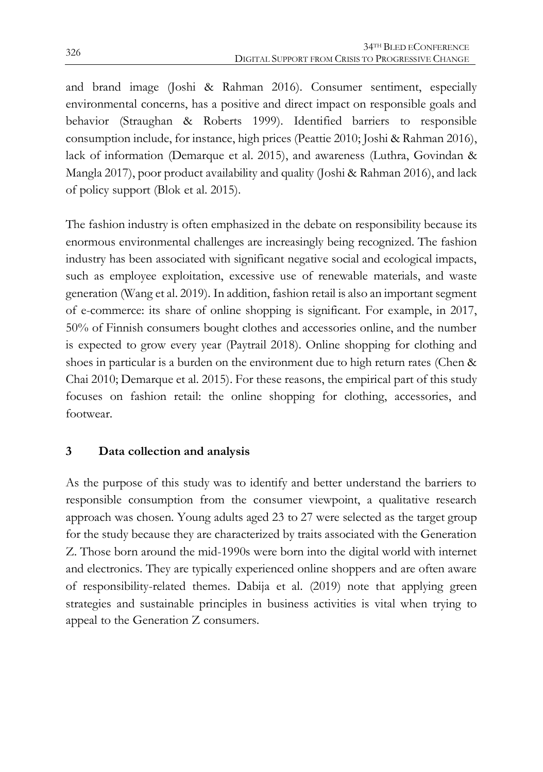and brand image (Joshi & Rahman 2016). Consumer sentiment, especially environmental concerns, has a positive and direct impact on responsible goals and behavior (Straughan & Roberts 1999). Identified barriers to responsible consumption include, for instance, high prices (Peattie 2010; Joshi & Rahman 2016), lack of information (Demarque et al. 2015), and awareness (Luthra, Govindan & Mangla 2017), poor product availability and quality (Joshi & Rahman 2016), and lack of policy support (Blok et al. 2015).

The fashion industry is often emphasized in the debate on responsibility because its enormous environmental challenges are increasingly being recognized. The fashion industry has been associated with significant negative social and ecological impacts, such as employee exploitation, excessive use of renewable materials, and waste generation (Wang et al. 2019). In addition, fashion retail is also an important segment of e-commerce: its share of online shopping is significant. For example, in 2017, 50% of Finnish consumers bought clothes and accessories online, and the number is expected to grow every year (Paytrail 2018). Online shopping for clothing and shoes in particular is a burden on the environment due to high return rates (Chen & Chai 2010; Demarque et al. 2015). For these reasons, the empirical part of this study focuses on fashion retail: the online shopping for clothing, accessories, and footwear.

## **3 Data collection and analysis**

As the purpose of this study was to identify and better understand the barriers to responsible consumption from the consumer viewpoint, a qualitative research approach was chosen. Young adults aged 23 to 27 were selected as the target group for the study because they are characterized by traits associated with the Generation Z. Those born around the mid-1990s were born into the digital world with internet and electronics. They are typically experienced online shoppers and are often aware of responsibility-related themes. Dabija et al. (2019) note that applying green strategies and sustainable principles in business activities is vital when trying to appeal to the Generation Z consumers.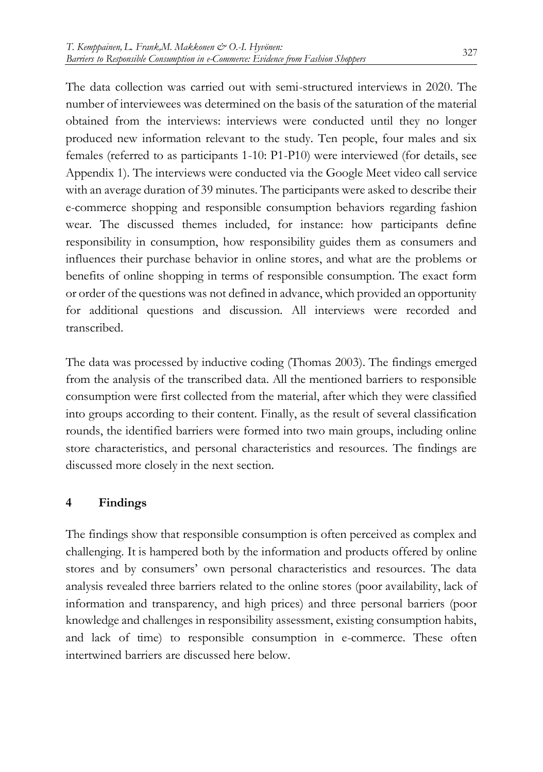The data collection was carried out with semi-structured interviews in 2020. The number of interviewees was determined on the basis of the saturation of the material obtained from the interviews: interviews were conducted until they no longer produced new information relevant to the study. Ten people, four males and six females (referred to as participants 1-10: P1-P10) were interviewed (for details, see Appendix 1). The interviews were conducted via the Google Meet video call service with an average duration of 39 minutes. The participants were asked to describe their e-commerce shopping and responsible consumption behaviors regarding fashion wear. The discussed themes included, for instance: how participants define responsibility in consumption, how responsibility guides them as consumers and influences their purchase behavior in online stores, and what are the problems or benefits of online shopping in terms of responsible consumption. The exact form or order of the questions was not defined in advance, which provided an opportunity for additional questions and discussion. All interviews were recorded and transcribed.

The data was processed by inductive coding (Thomas 2003). The findings emerged from the analysis of the transcribed data. All the mentioned barriers to responsible consumption were first collected from the material, after which they were classified into groups according to their content. Finally, as the result of several classification rounds, the identified barriers were formed into two main groups, including online store characteristics, and personal characteristics and resources. The findings are discussed more closely in the next section.

## **4 Findings**

The findings show that responsible consumption is often perceived as complex and challenging. It is hampered both by the information and products offered by online stores and by consumers' own personal characteristics and resources. The data analysis revealed three barriers related to the online stores (poor availability, lack of information and transparency, and high prices) and three personal barriers (poor knowledge and challenges in responsibility assessment, existing consumption habits, and lack of time) to responsible consumption in e-commerce. These often intertwined barriers are discussed here below.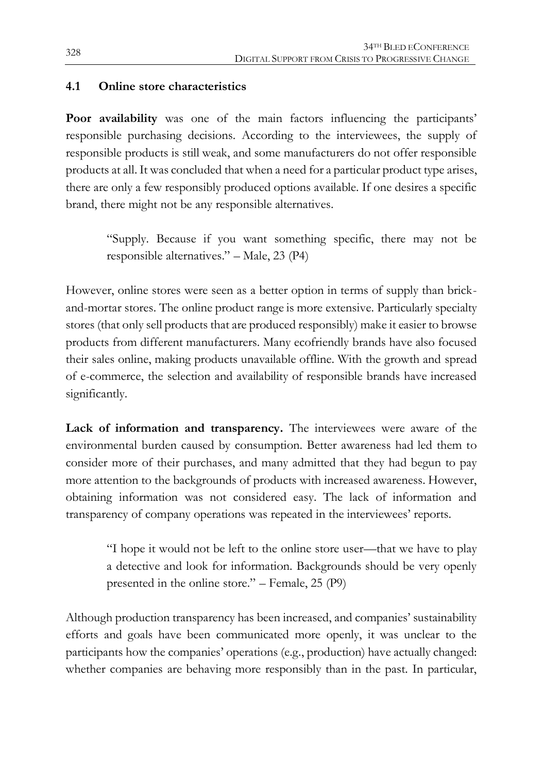#### **4.1 Online store characteristics**

**Poor availability** was one of the main factors influencing the participants' responsible purchasing decisions. According to the interviewees, the supply of responsible products is still weak, and some manufacturers do not offer responsible products at all. It was concluded that when a need for a particular product type arises, there are only a few responsibly produced options available. If one desires a specific brand, there might not be any responsible alternatives.

"Supply. Because if you want something specific, there may not be responsible alternatives." – Male, 23 (P4)

However, online stores were seen as a better option in terms of supply than brickand-mortar stores. The online product range is more extensive. Particularly specialty stores (that only sell products that are produced responsibly) make it easier to browse products from different manufacturers. Many ecofriendly brands have also focused their sales online, making products unavailable offline. With the growth and spread of e-commerce, the selection and availability of responsible brands have increased significantly.

**Lack of information and transparency.** The interviewees were aware of the environmental burden caused by consumption. Better awareness had led them to consider more of their purchases, and many admitted that they had begun to pay more attention to the backgrounds of products with increased awareness. However, obtaining information was not considered easy. The lack of information and transparency of company operations was repeated in the interviewees' reports.

"I hope it would not be left to the online store user—that we have to play a detective and look for information. Backgrounds should be very openly presented in the online store." – Female, 25 (P9)

Although production transparency has been increased, and companies' sustainability efforts and goals have been communicated more openly, it was unclear to the participants how the companies' operations (e.g., production) have actually changed: whether companies are behaving more responsibly than in the past. In particular,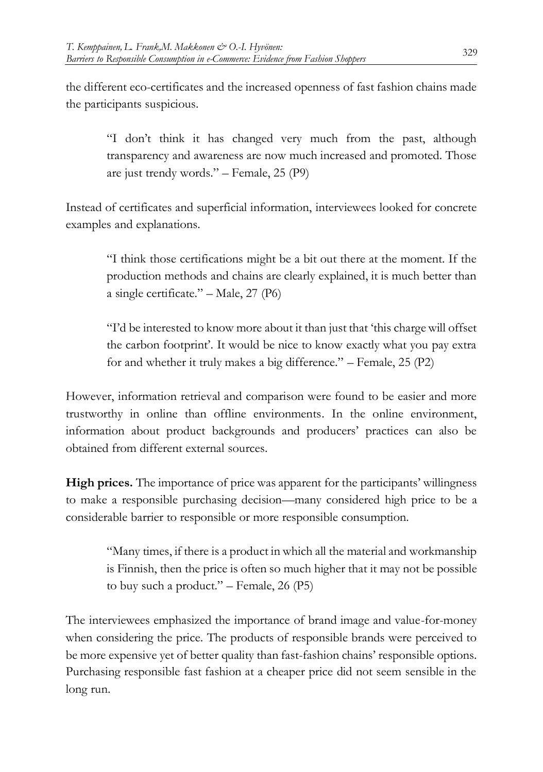the different eco-certificates and the increased openness of fast fashion chains made the participants suspicious.

"I don't think it has changed very much from the past, although transparency and awareness are now much increased and promoted. Those are just trendy words." – Female, 25 (P9)

Instead of certificates and superficial information, interviewees looked for concrete examples and explanations.

"I think those certifications might be a bit out there at the moment. If the production methods and chains are clearly explained, it is much better than a single certificate." – Male, 27 (P6)

"I'd be interested to know more about it than just that 'this charge will offset the carbon footprint'. It would be nice to know exactly what you pay extra for and whether it truly makes a big difference." – Female, 25 (P2)

However, information retrieval and comparison were found to be easier and more trustworthy in online than offline environments. In the online environment, information about product backgrounds and producers' practices can also be obtained from different external sources.

**High prices.** The importance of price was apparent for the participants' willingness to make a responsible purchasing decision—many considered high price to be a considerable barrier to responsible or more responsible consumption.

"Many times, if there is a product in which all the material and workmanship is Finnish, then the price is often so much higher that it may not be possible to buy such a product." – Female, 26 (P5)

The interviewees emphasized the importance of brand image and value-for-money when considering the price. The products of responsible brands were perceived to be more expensive yet of better quality than fast-fashion chains' responsible options. Purchasing responsible fast fashion at a cheaper price did not seem sensible in the long run.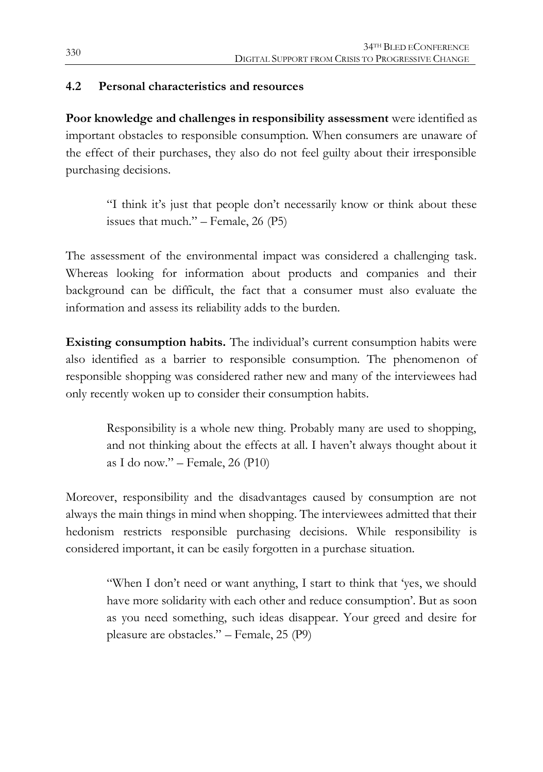### **4.2 Personal characteristics and resources**

**Poor knowledge and challenges in responsibility assessment** were identified as important obstacles to responsible consumption. When consumers are unaware of the effect of their purchases, they also do not feel guilty about their irresponsible purchasing decisions.

"I think it's just that people don't necessarily know or think about these issues that much." – Female,  $26 \text{ (P5)}$ 

The assessment of the environmental impact was considered a challenging task. Whereas looking for information about products and companies and their background can be difficult, the fact that a consumer must also evaluate the information and assess its reliability adds to the burden.

**Existing consumption habits.** The individual's current consumption habits were also identified as a barrier to responsible consumption. The phenomenon of responsible shopping was considered rather new and many of the interviewees had only recently woken up to consider their consumption habits.

Responsibility is a whole new thing. Probably many are used to shopping, and not thinking about the effects at all. I haven't always thought about it as I do now." – Female, 26 (P10)

Moreover, responsibility and the disadvantages caused by consumption are not always the main things in mind when shopping. The interviewees admitted that their hedonism restricts responsible purchasing decisions. While responsibility is considered important, it can be easily forgotten in a purchase situation.

> "When I don't need or want anything, I start to think that 'yes, we should have more solidarity with each other and reduce consumption'. But as soon as you need something, such ideas disappear. Your greed and desire for pleasure are obstacles." – Female, 25 (P9)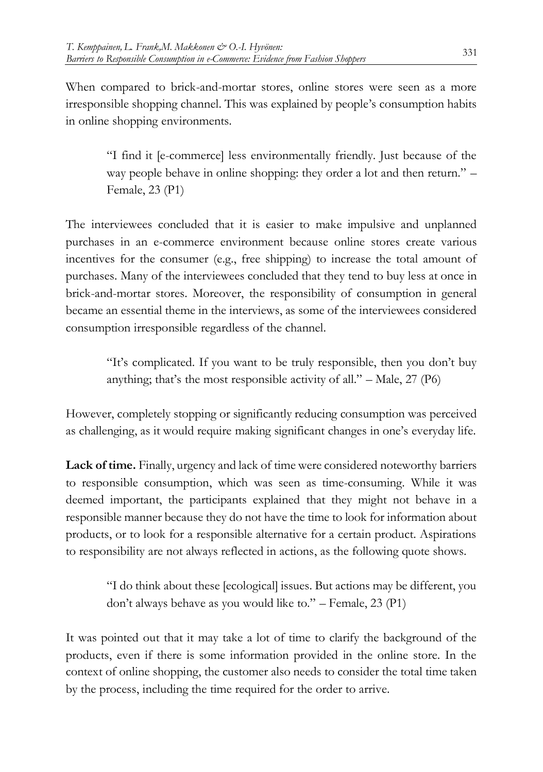When compared to brick-and-mortar stores, online stores were seen as a more irresponsible shopping channel. This was explained by people's consumption habits in online shopping environments.

> "I find it [e-commerce] less environmentally friendly. Just because of the way people behave in online shopping: they order a lot and then return." – Female, 23 (P1)

The interviewees concluded that it is easier to make impulsive and unplanned purchases in an e-commerce environment because online stores create various incentives for the consumer (e.g., free shipping) to increase the total amount of purchases. Many of the interviewees concluded that they tend to buy less at once in brick-and-mortar stores. Moreover, the responsibility of consumption in general became an essential theme in the interviews, as some of the interviewees considered consumption irresponsible regardless of the channel.

> "It's complicated. If you want to be truly responsible, then you don't buy anything; that's the most responsible activity of all."  $-$  Male, 27 (P6)

However, completely stopping or significantly reducing consumption was perceived as challenging, as it would require making significant changes in one's everyday life.

**Lack of time.** Finally, urgency and lack of time were considered noteworthy barriers to responsible consumption, which was seen as time-consuming. While it was deemed important, the participants explained that they might not behave in a responsible manner because they do not have the time to look for information about products, or to look for a responsible alternative for a certain product. Aspirations to responsibility are not always reflected in actions, as the following quote shows.

> "I do think about these [ecological] issues. But actions may be different, you don't always behave as you would like to." – Female, 23 (P1)

It was pointed out that it may take a lot of time to clarify the background of the products, even if there is some information provided in the online store. In the context of online shopping, the customer also needs to consider the total time taken by the process, including the time required for the order to arrive.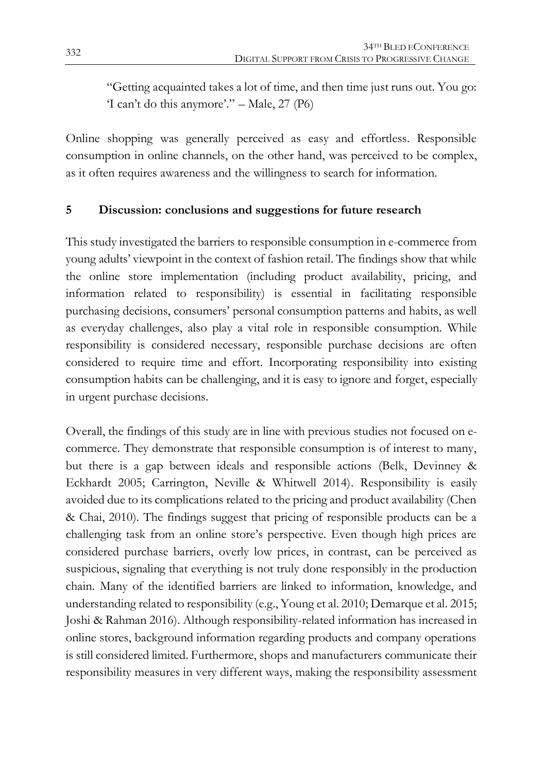"Getting acquainted takes a lot of time, and then time just runs out. You go: 'I can't do this anymore'." – Male, 27 (P6)

Online shopping was generally perceived as easy and effortless. Responsible consumption in online channels, on the other hand, was perceived to be complex, as it often requires awareness and the willingness to search for information.

## **5 Discussion: conclusions and suggestions for future research**

This study investigated the barriers to responsible consumption in e-commerce from young adults' viewpoint in the context of fashion retail. The findings show that while the online store implementation (including product availability, pricing, and information related to responsibility) is essential in facilitating responsible purchasing decisions, consumers' personal consumption patterns and habits, as well as everyday challenges, also play a vital role in responsible consumption. While responsibility is considered necessary, responsible purchase decisions are often considered to require time and effort. Incorporating responsibility into existing consumption habits can be challenging, and it is easy to ignore and forget, especially in urgent purchase decisions.

Overall, the findings of this study are in line with previous studies not focused on ecommerce. They demonstrate that responsible consumption is of interest to many, but there is a gap between ideals and responsible actions (Belk, Devinney & Eckhardt 2005; Carrington, Neville & Whitwell 2014). Responsibility is easily avoided due to its complications related to the pricing and product availability (Chen & Chai, 2010). The findings suggest that pricing of responsible products can be a challenging task from an online store's perspective. Even though high prices are considered purchase barriers, overly low prices, in contrast, can be perceived as suspicious, signaling that everything is not truly done responsibly in the production chain. Many of the identified barriers are linked to information, knowledge, and understanding related to responsibility (e.g., Young et al. 2010; Demarque et al. 2015; Joshi & Rahman 2016). Although responsibility-related information has increased in online stores, background information regarding products and company operations is still considered limited. Furthermore, shops and manufacturers communicate their responsibility measures in very different ways, making the responsibility assessment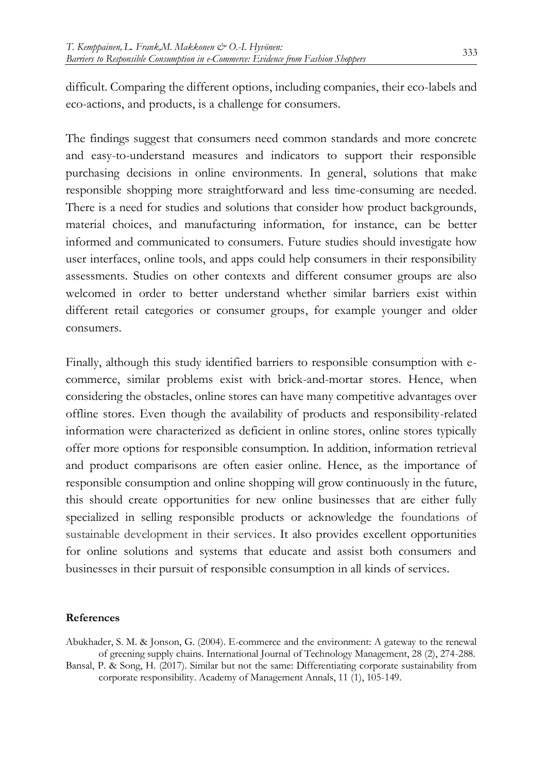difficult. Comparing the different options, including companies, their eco-labels and eco-actions, and products, is a challenge for consumers.

The findings suggest that consumers need common standards and more concrete and easy-to-understand measures and indicators to support their responsible purchasing decisions in online environments. In general, solutions that make responsible shopping more straightforward and less time-consuming are needed. There is a need for studies and solutions that consider how product backgrounds, material choices, and manufacturing information, for instance, can be better informed and communicated to consumers. Future studies should investigate how user interfaces, online tools, and apps could help consumers in their responsibility assessments. Studies on other contexts and different consumer groups are also welcomed in order to better understand whether similar barriers exist within different retail categories or consumer groups, for example younger and older consumers.

Finally, although this study identified barriers to responsible consumption with ecommerce, similar problems exist with brick-and-mortar stores. Hence, when considering the obstacles, online stores can have many competitive advantages over offline stores. Even though the availability of products and responsibility-related information were characterized as deficient in online stores, online stores typically offer more options for responsible consumption. In addition, information retrieval and product comparisons are often easier online. Hence, as the importance of responsible consumption and online shopping will grow continuously in the future, this should create opportunities for new online businesses that are either fully specialized in selling responsible products or acknowledge the foundations of sustainable development in their services. It also provides excellent opportunities for online solutions and systems that educate and assist both consumers and businesses in their pursuit of responsible consumption in all kinds of services.

#### **References**

Abukhader, S. M. & Jonson, G. (2004). E-commerce and the environment: A gateway to the renewal of greening supply chains. International Journal of Technology Management, 28 (2), 274-288.

Bansal, P. & Song, H. (2017). Similar but not the same: Differentiating corporate sustainability from corporate responsibility. Academy of Management Annals, 11 (1), 105-149.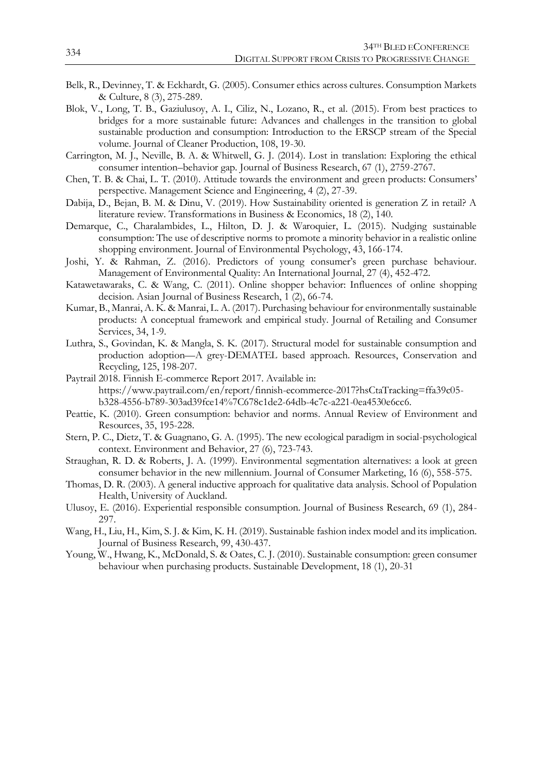- Belk, R., Devinney, T. & Eckhardt, G. (2005). Consumer ethics across cultures. Consumption Markets & Culture, 8 (3), 275-289.
- Blok, V., Long, T. B., Gaziulusoy, A. I., Ciliz, N., Lozano, R., et al. (2015). From best practices to bridges for a more sustainable future: Advances and challenges in the transition to global sustainable production and consumption: Introduction to the ERSCP stream of the Special volume. Journal of Cleaner Production, 108, 19-30.
- Carrington, M. J., Neville, B. A. & Whitwell, G. J. (2014). Lost in translation: Exploring the ethical consumer intention–behavior gap. Journal of Business Research, 67 (1), 2759-2767.
- Chen, T. B. & Chai, L. T. (2010). Attitude towards the environment and green products: Consumers' perspective. Management Science and Engineering, 4 (2), 27-39.
- Dabija, D., Bejan, B. M. & Dinu, V. (2019). How Sustainability oriented is generation Z in retail? A literature review. Transformations in Business & Economics, 18 (2), 140.
- Demarque, C., Charalambides, L., Hilton, D. J. & Waroquier, L. (2015). Nudging sustainable consumption: The use of descriptive norms to promote a minority behavior in a realistic online shopping environment. Journal of Environmental Psychology, 43, 166-174.
- Joshi, Y. & Rahman, Z. (2016). Predictors of young consumer's green purchase behaviour. Management of Environmental Quality: An International Journal, 27 (4), 452-472.
- Katawetawaraks, C. & Wang, C. (2011). Online shopper behavior: Influences of online shopping decision. Asian Journal of Business Research, 1 (2), 66-74.
- Kumar, B., Manrai, A. K. & Manrai, L. A. (2017). Purchasing behaviour for environmentally sustainable products: A conceptual framework and empirical study. Journal of Retailing and Consumer Services, 34, 1-9.
- Luthra, S., Govindan, K. & Mangla, S. K. (2017). Structural model for sustainable consumption and production adoption—A grey-DEMATEL based approach. Resources, Conservation and Recycling, 125, 198-207.
- Paytrail 2018. Finnish E-commerce Report 2017. Available in: https://www.paytrail.com/en/report/finnish-ecommerce-2017?hsCtaTracking=ffa39c05 b328-4556-b789-303ad39fce14%7C678c1de2-64db-4c7c-a221-0ea4530e6cc6.
- Peattie, K. (2010). Green consumption: behavior and norms. Annual Review of Environment and Resources, 35, 195-228.
- Stern, P. C., Dietz, T. & Guagnano, G. A. (1995). The new ecological paradigm in social-psychological context. Environment and Behavior, 27 (6), 723-743.
- Straughan, R. D. & Roberts, J. A. (1999). Environmental segmentation alternatives: a look at green consumer behavior in the new millennium. Journal of Consumer Marketing, 16 (6), 558-575.
- Thomas, D. R. (2003). A general inductive approach for qualitative data analysis. School of Population Health, University of Auckland.
- Ulusoy, E. (2016). Experiential responsible consumption. Journal of Business Research, 69 (1), 284- 297.
- Wang, H., Liu, H., Kim, S. J. & Kim, K. H. (2019). Sustainable fashion index model and its implication. Journal of Business Research, 99, 430-437.
- Young, W., Hwang, K., McDonald, S. & Oates, C. J. (2010). Sustainable consumption: green consumer behaviour when purchasing products. Sustainable Development, 18 (1), 20-31